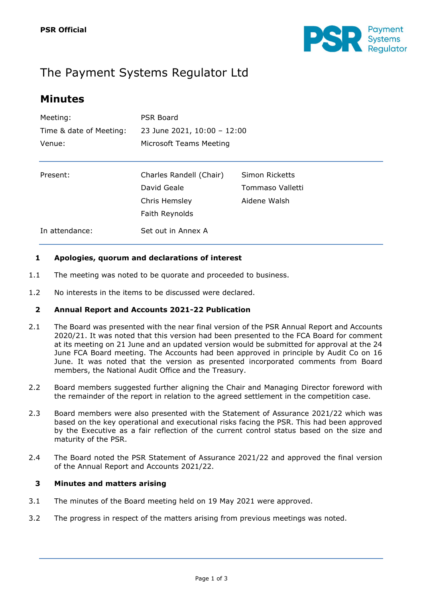

# The Payment Systems Regulator Ltd

## **Minutes**

| Meeting:                | <b>PSR Board</b>            |                  |  |
|-------------------------|-----------------------------|------------------|--|
| Time & date of Meeting: | 23 June 2021, 10:00 - 12:00 |                  |  |
| Venue:                  | Microsoft Teams Meeting     |                  |  |
|                         |                             |                  |  |
| Present:                | Charles Randell (Chair)     | Simon Ricketts   |  |
|                         | David Geale                 | Tommaso Valletti |  |
|                         | Chris Hemsley               | Aidene Walsh     |  |
|                         | Faith Reynolds              |                  |  |
| In attendance:          | Set out in Annex A          |                  |  |

#### **1 Apologies, quorum and declarations of interest**

- 1.1 The meeting was noted to be quorate and proceeded to business.
- 1.2 No interests in the items to be discussed were declared.

#### **2 Annual Report and Accounts 2021-22 Publication**

- 2.1 The Board was presented with the near final version of the PSR Annual Report and Accounts 2020/21. It was noted that this version had been presented to the FCA Board for comment at its meeting on 21 June and an updated version would be submitted for approval at the 24 June FCA Board meeting. The Accounts had been approved in principle by Audit Co on 16 June. It was noted that the version as presented incorporated comments from Board members, the National Audit Office and the Treasury.
- 2.2 Board members suggested further aligning the Chair and Managing Director foreword with the remainder of the report in relation to the agreed settlement in the competition case.
- 2.3 Board members were also presented with the Statement of Assurance 2021/22 which was based on the key operational and executional risks facing the PSR. This had been approved by the Executive as a fair reflection of the current control status based on the size and maturity of the PSR.
- 2.4 The Board noted the PSR Statement of Assurance 2021/22 and approved the final version of the Annual Report and Accounts 2021/22.

#### **3 Minutes and matters arising**

- 3.1 The minutes of the Board meeting held on 19 May 2021 were approved.
- 3.2 The progress in respect of the matters arising from previous meetings was noted.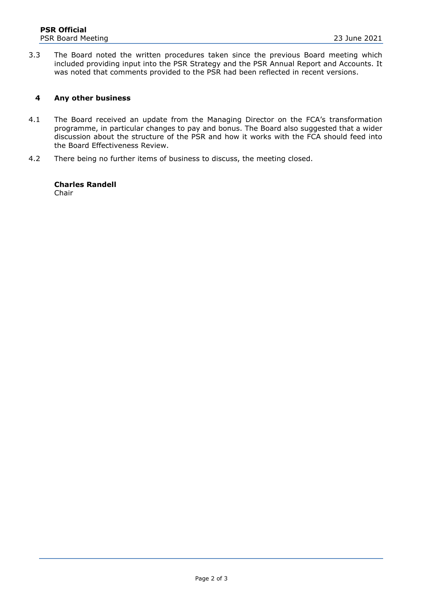3.3 The Board noted the written procedures taken since the previous Board meeting which included providing input into the PSR Strategy and the PSR Annual Report and Accounts. It was noted that comments provided to the PSR had been reflected in recent versions.

#### **4 Any other business**

- 4.1 The Board received an update from the Managing Director on the FCA's transformation programme, in particular changes to pay and bonus. The Board also suggested that a wider discussion about the structure of the PSR and how it works with the FCA should feed into the Board Effectiveness Review.
- 4.2 There being no further items of business to discuss, the meeting closed.

#### **Charles Randell** Chair